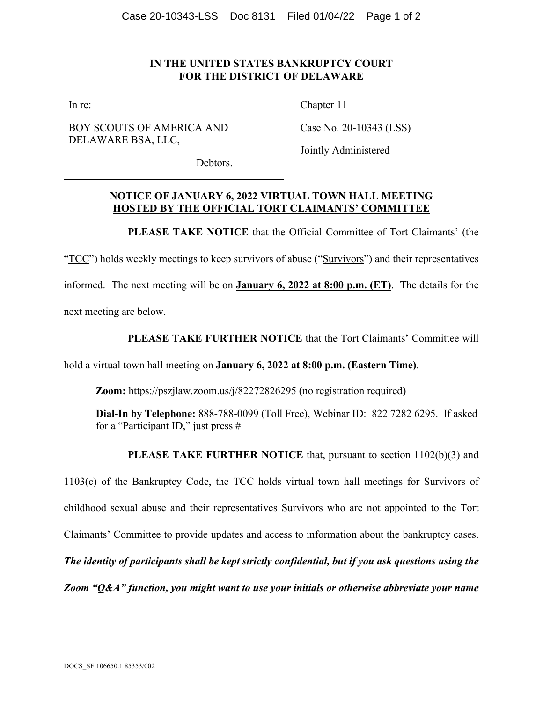## **IN THE UNITED STATES BANKRUPTCY COURT FOR THE DISTRICT OF DELAWARE**

In re:

BOY SCOUTS OF AMERICA AND DELAWARE BSA, LLC,

Chapter 11

Case No. 20-10343 (LSS)

Jointly Administered

Debtors.

## **NOTICE OF JANUARY 6, 2022 VIRTUAL TOWN HALL MEETING HOSTED BY THE OFFICIAL TORT CLAIMANTS' COMMITTEE**

**PLEASE TAKE NOTICE** that the Official Committee of Tort Claimants' (the

"TCC") holds weekly meetings to keep survivors of abuse ("Survivors") and their representatives informed. The next meeting will be on **January 6, 2022 at 8:00 p.m. (ET)**. The details for the next meeting are below.

**PLEASE TAKE FURTHER NOTICE** that the Tort Claimants' Committee will

hold a virtual town hall meeting on **January 6, 2022 at 8:00 p.m. (Eastern Time)**.

**Zoom:** https://pszjlaw.zoom.us/j/82272826295 (no registration required)

**Dial-In by Telephone:** 888-788-0099 (Toll Free), Webinar ID: 822 7282 6295. If asked for a "Participant ID," just press #

**PLEASE TAKE FURTHER NOTICE** that, pursuant to section 1102(b)(3) and

1103(c) of the Bankruptcy Code, the TCC holds virtual town hall meetings for Survivors of childhood sexual abuse and their representatives Survivors who are not appointed to the Tort Claimants' Committee to provide updates and access to information about the bankruptcy cases. *The identity of participants shall be kept strictly confidential, but if you ask questions using the Zoom "Q&A" function, you might want to use your initials or otherwise abbreviate your name*